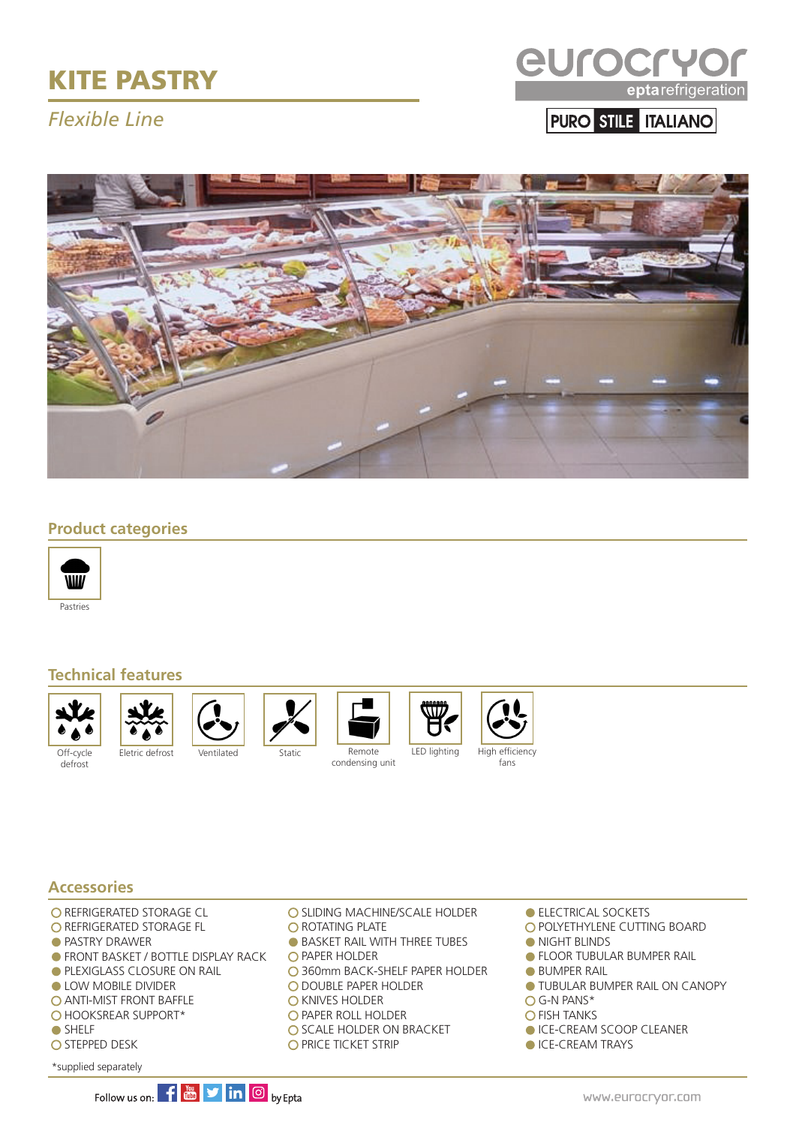# KITE PASTRY

## *Flexible Line*



PURO STILE ITALIANO



#### **Product categories**



#### **Technical features**



defrost







condensing unit





#### **Accessories**

- **O REFRIGERATED STORAGE CL**
- O REFRIGERATED STORAGE FL
- **PASTRY DRAWER**
- **FRONT BASKET / BOTTLE DISPLAY RACK**
- **PLEXIGLASS CLOSURE ON RAIL**
- **LOW MOBILE DIVIDER**
- **O ANTI-MIST FRONT BAFFLE**
- O HOOKSREAR SUPPORT\*
- SHELF
- O STEPPED DESK
- \*supplied separately
- O SLIDING MACHINE/SCALE HOLDER
- **O ROTATING PLATE**
- **BASKET RAIL WITH THREE TUBES**
- **O PAPER HOLDER**
- 360mm BACK-SHELF PAPER HOLDER
- O DOUBLE PAPER HOLDER
- **O** KNIVES HOLDER
- O PAPER ROLL HOLDER
- O SCALE HOLDER ON BRACKET
- O PRICE TICKET STRIP
- **ELECTRICAL SOCKETS**
- O POLYETHYLENE CUTTING BOARD
- **NIGHT BLINDS**
- **FLOOR TUBULAR BUMPER RAIL**
- **BUMPER RAIL**
- **TUBULAR BUMPER RAIL ON CANOPY**
- G-N PANS\*
- **O FISH TANKS**
- ICE-CREAM SCOOP CLEANER
- **ICE-CREAM TRAYS**